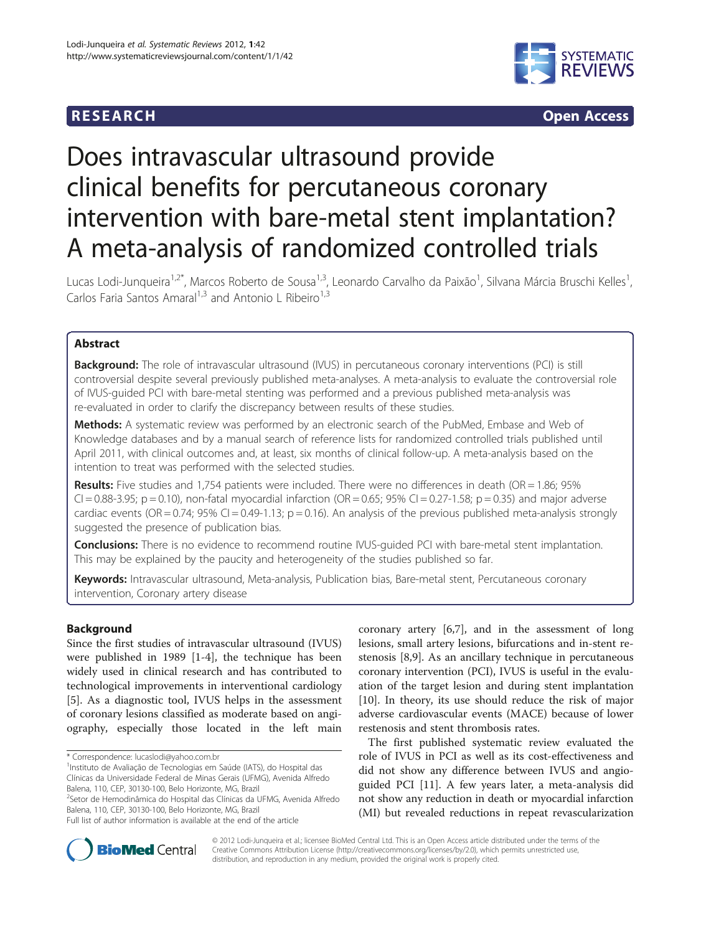

**RESEARCH RESEARCH CONSUMING ACCESS** 

# Does intravascular ultrasound provide clinical benefits for percutaneous coronary intervention with bare-metal stent implantation? A meta-analysis of randomized controlled trials

Lucas Lodi-Junqueira<sup>1,2\*</sup>, Marcos Roberto de Sousa<sup>1,3</sup>, Leonardo Carvalho da Paixão<sup>1</sup>, Silvana Márcia Bruschi Kelles<sup>1</sup> , Carlos Faria Santos Amaral<sup>1,3</sup> and Antonio L Ribeiro<sup>1,3</sup>

# Abstract

Background: The role of intravascular ultrasound (IVUS) in percutaneous coronary interventions (PCI) is still controversial despite several previously published meta-analyses. A meta-analysis to evaluate the controversial role of IVUS-guided PCI with bare-metal stenting was performed and a previous published meta-analysis was re-evaluated in order to clarify the discrepancy between results of these studies.

Methods: A systematic review was performed by an electronic search of the PubMed, Embase and Web of Knowledge databases and by a manual search of reference lists for randomized controlled trials published until April 2011, with clinical outcomes and, at least, six months of clinical follow-up. A meta-analysis based on the intention to treat was performed with the selected studies.

Results: Five studies and 1,754 patients were included. There were no differences in death (OR = 1.86; 95%  $Cl = 0.88-3.95$ ;  $p = 0.10$ ), non-fatal myocardial infarction (OR = 0.65; 95% CI = 0.27-1.58;  $p = 0.35$ ) and major adverse cardiac events (OR = 0.74; 95% CI = 0.49-1.13;  $p = 0.16$ ). An analysis of the previous published meta-analysis strongly suggested the presence of publication bias.

**Conclusions:** There is no evidence to recommend routine IVUS-quided PCI with bare-metal stent implantation. This may be explained by the paucity and heterogeneity of the studies published so far.

Keywords: Intravascular ultrasound, Meta-analysis, Publication bias, Bare-metal stent, Percutaneous coronary intervention, Coronary artery disease

# Background

Since the first studies of intravascular ultrasound (IVUS) were published in 1989 [[1-4](#page-8-0)], the technique has been widely used in clinical research and has contributed to technological improvements in interventional cardiology [[5\]](#page-8-0). As a diagnostic tool, IVUS helps in the assessment of coronary lesions classified as moderate based on angiography, especially those located in the left main

<sup>2</sup>Setor de Hemodinâmica do Hospital das Clínicas da UFMG, Avenida Alfredo Balena, 110, CEP, 30130-100, Belo Horizonte, MG, Brazil

coronary artery [\[6](#page-8-0),[7](#page-8-0)], and in the assessment of long lesions, small artery lesions, bifurcations and in-stent restenosis [\[8,9](#page-8-0)]. As an ancillary technique in percutaneous coronary intervention (PCI), IVUS is useful in the evaluation of the target lesion and during stent implantation [[10\]](#page-8-0). In theory, its use should reduce the risk of major adverse cardiovascular events (MACE) because of lower restenosis and stent thrombosis rates.

The first published systematic review evaluated the role of IVUS in PCI as well as its cost-effectiveness and did not show any difference between IVUS and angioguided PCI [[11\]](#page-8-0). A few years later, a meta-analysis did not show any reduction in death or myocardial infarction (MI) but revealed reductions in repeat revascularization



© 2012 Lodi-Junqueira et al.; licensee BioMed Central Ltd. This is an Open Access article distributed under the terms of the Creative Commons Attribution License (<http://creativecommons.org/licenses/by/2.0>), which permits unrestricted use, distribution, and reproduction in any medium, provided the original work is properly cited.

<sup>\*</sup> Correspondence: [lucaslodi@yahoo.com.br](mailto:lucaslodi@yahoo.com.br) <sup>1</sup>

<sup>&</sup>lt;sup>1</sup>Instituto de Avaliação de Tecnologias em Saúde (IATS), do Hospital das Clínicas da Universidade Federal de Minas Gerais (UFMG), Avenida Alfredo Balena, 110, CEP, 30130-100, Belo Horizonte, MG, Brazil

Full list of author information is available at the end of the article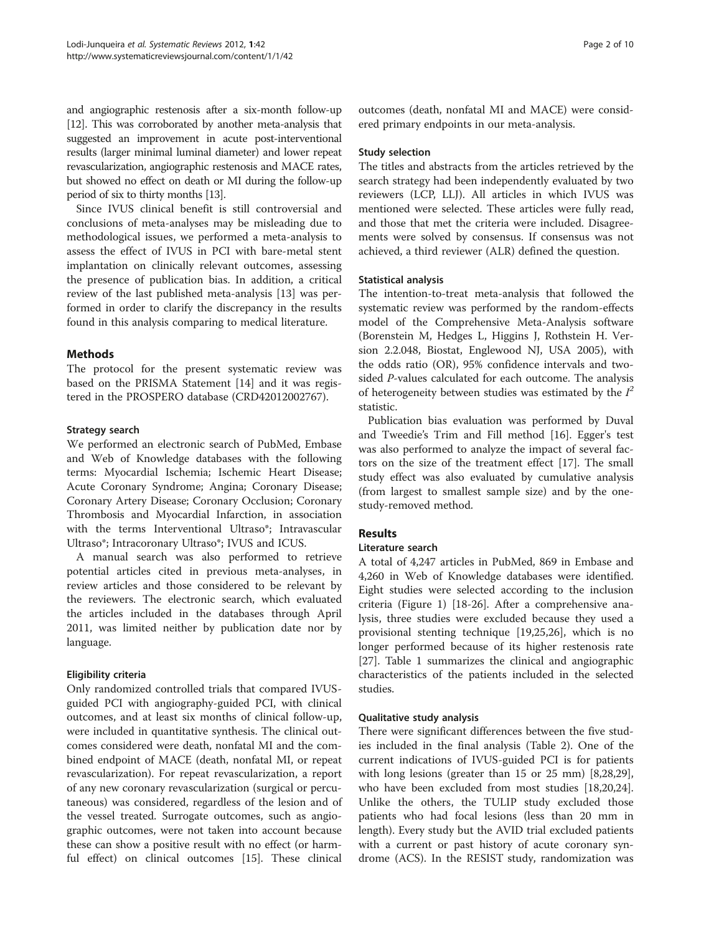and angiographic restenosis after a six-month follow-up [[12](#page-8-0)]. This was corroborated by another meta-analysis that suggested an improvement in acute post-interventional results (larger minimal luminal diameter) and lower repeat revascularization, angiographic restenosis and MACE rates, but showed no effect on death or MI during the follow-up period of six to thirty months [[13\]](#page-8-0).

Since IVUS clinical benefit is still controversial and conclusions of meta-analyses may be misleading due to methodological issues, we performed a meta-analysis to assess the effect of IVUS in PCI with bare-metal stent implantation on clinically relevant outcomes, assessing the presence of publication bias. In addition, a critical review of the last published meta-analysis [\[13](#page-8-0)] was performed in order to clarify the discrepancy in the results found in this analysis comparing to medical literature.

# Methods

The protocol for the present systematic review was based on the PRISMA Statement [\[14](#page-8-0)] and it was registered in the PROSPERO database (CRD42012002767).

# Strategy search

We performed an electronic search of PubMed, Embase and Web of Knowledge databases with the following terms: Myocardial Ischemia; Ischemic Heart Disease; Acute Coronary Syndrome; Angina; Coronary Disease; Coronary Artery Disease; Coronary Occlusion; Coronary Thrombosis and Myocardial Infarction, in association with the terms Interventional Ultraso\*; Intravascular Ultraso\*; Intracoronary Ultraso\*; IVUS and ICUS.

A manual search was also performed to retrieve potential articles cited in previous meta-analyses, in review articles and those considered to be relevant by the reviewers. The electronic search, which evaluated the articles included in the databases through April 2011, was limited neither by publication date nor by language.

### Eligibility criteria

Only randomized controlled trials that compared IVUSguided PCI with angiography-guided PCI, with clinical outcomes, and at least six months of clinical follow-up, were included in quantitative synthesis. The clinical outcomes considered were death, nonfatal MI and the combined endpoint of MACE (death, nonfatal MI, or repeat revascularization). For repeat revascularization, a report of any new coronary revascularization (surgical or percutaneous) was considered, regardless of the lesion and of the vessel treated. Surrogate outcomes, such as angiographic outcomes, were not taken into account because these can show a positive result with no effect (or harmful effect) on clinical outcomes [[15](#page-8-0)]. These clinical

outcomes (death, nonfatal MI and MACE) were considered primary endpoints in our meta-analysis.

# Study selection

The titles and abstracts from the articles retrieved by the search strategy had been independently evaluated by two reviewers (LCP, LLJ). All articles in which IVUS was mentioned were selected. These articles were fully read, and those that met the criteria were included. Disagreements were solved by consensus. If consensus was not achieved, a third reviewer (ALR) defined the question.

# Statistical analysis

The intention-to-treat meta-analysis that followed the systematic review was performed by the random-effects model of the Comprehensive Meta-Analysis software (Borenstein M, Hedges L, Higgins J, Rothstein H. Version 2.2.048, Biostat, Englewood NJ, USA 2005), with the odds ratio (OR), 95% confidence intervals and twosided P-values calculated for each outcome. The analysis of heterogeneity between studies was estimated by the  $I^2$ statistic.

Publication bias evaluation was performed by Duval and Tweedie's Trim and Fill method [[16\]](#page-8-0). Egger's test was also performed to analyze the impact of several factors on the size of the treatment effect [[17\]](#page-8-0). The small study effect was also evaluated by cumulative analysis (from largest to smallest sample size) and by the onestudy-removed method.

# Results

# Literature search

A total of 4,247 articles in PubMed, 869 in Embase and 4,260 in Web of Knowledge databases were identified. Eight studies were selected according to the inclusion criteria (Figure [1](#page-2-0)) [\[18](#page-8-0)-[26\]](#page-9-0). After a comprehensive analysis, three studies were excluded because they used a provisional stenting technique [[19,25,26\]](#page-9-0), which is no longer performed because of its higher restenosis rate [[27\]](#page-9-0). Table [1](#page-3-0) summarizes the clinical and angiographic characteristics of the patients included in the selected studies.

### Qualitative study analysis

There were significant differences between the five studies included in the final analysis (Table [2\)](#page-4-0). One of the current indications of IVUS-guided PCI is for patients with long lesions (greater than 15 or 25 mm) [\[8](#page-8-0)[,28,29](#page-9-0)], who have been excluded from most studies [[18](#page-8-0)[,20,24](#page-9-0)]. Unlike the others, the TULIP study excluded those patients who had focal lesions (less than 20 mm in length). Every study but the AVID trial excluded patients with a current or past history of acute coronary syndrome (ACS). In the RESIST study, randomization was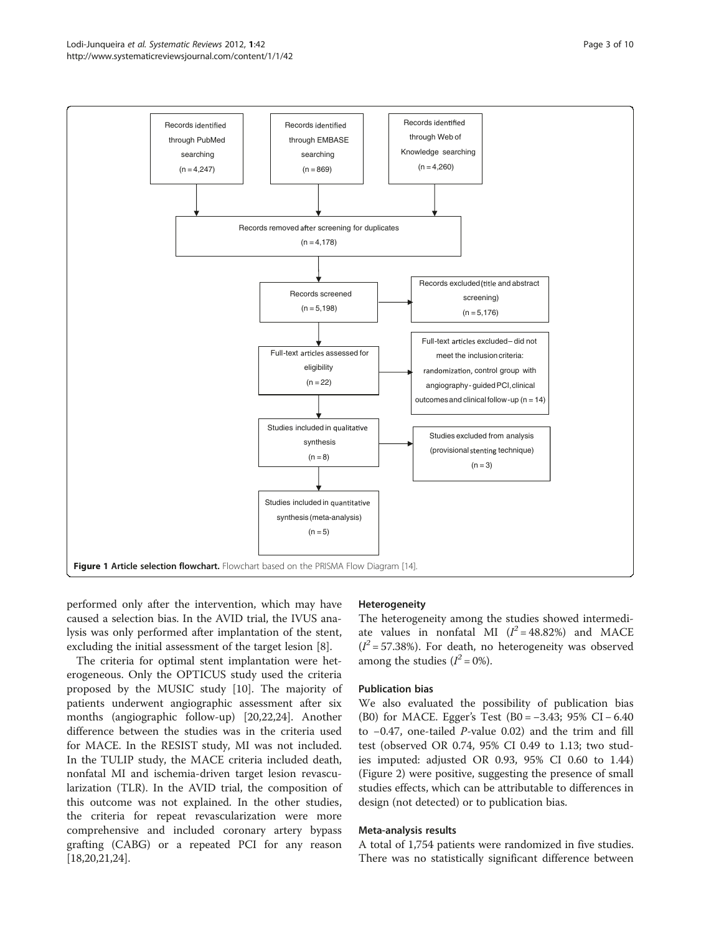<span id="page-2-0"></span>

performed only after the intervention, which may have caused a selection bias. In the AVID trial, the IVUS analysis was only performed after implantation of the stent, excluding the initial assessment of the target lesion [\[8](#page-8-0)].

The criteria for optimal stent implantation were heterogeneous. Only the OPTICUS study used the criteria proposed by the MUSIC study [[10\]](#page-8-0). The majority of patients underwent angiographic assessment after six months (angiographic follow-up) [\[20,22,24\]](#page-9-0). Another difference between the studies was in the criteria used for MACE. In the RESIST study, MI was not included. In the TULIP study, the MACE criteria included death, nonfatal MI and ischemia-driven target lesion revascularization (TLR). In the AVID trial, the composition of this outcome was not explained. In the other studies, the criteria for repeat revascularization were more comprehensive and included coronary artery bypass grafting (CABG) or a repeated PCI for any reason [[18,](#page-8-0)[20,21,24\]](#page-9-0).

# Heterogeneity

The heterogeneity among the studies showed intermediate values in nonfatal MI  $(I^2 = 48.82\%)$  and MACE  $(I^2 = 57.38\%)$ . For death, no heterogeneity was observed among the studies  $(I^2 = 0\%)$ .

### Publication bias

We also evaluated the possibility of publication bias (B0) for MACE. Egger's Test (B0 = −3.43; 95% CI − 6.40 to −0.47, one-tailed P-value 0.02) and the trim and fill test (observed OR 0.74, 95% CI 0.49 to 1.13; two studies imputed: adjusted OR 0.93, 95% CI 0.60 to 1.44) (Figure [2\)](#page-5-0) were positive, suggesting the presence of small studies effects, which can be attributable to differences in design (not detected) or to publication bias.

### Meta-analysis results

A total of 1,754 patients were randomized in five studies. There was no statistically significant difference between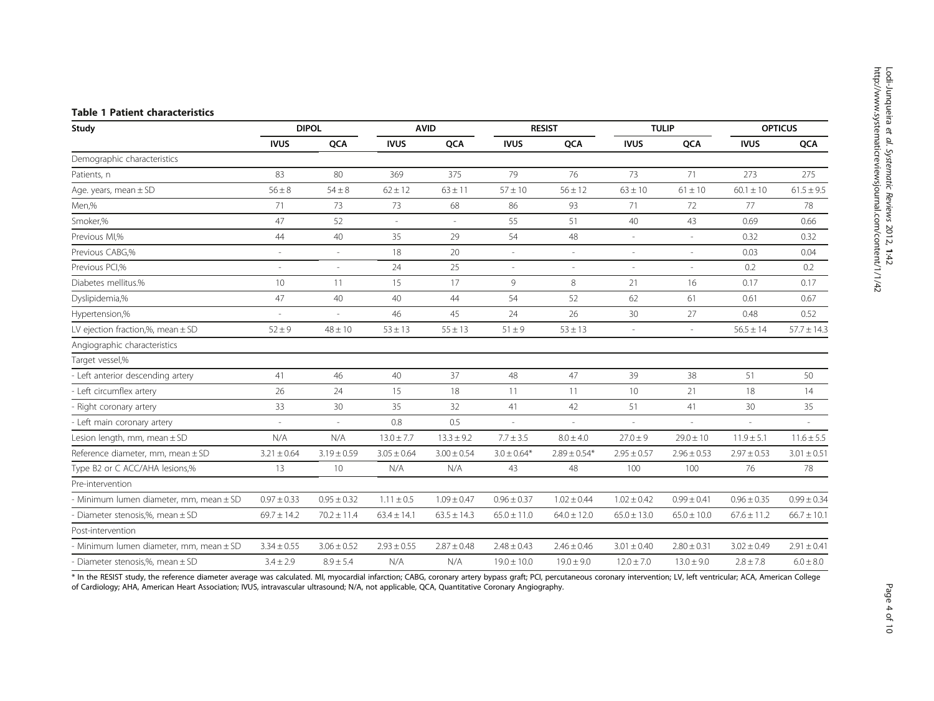<span id="page-3-0"></span>

| Study                                   | <b>DIPOL</b>             |                 | <b>AVID</b>     |                 | <b>RESIST</b>   |                  | <b>TULIP</b>    |                          | <b>OPTICUS</b>  |                 |
|-----------------------------------------|--------------------------|-----------------|-----------------|-----------------|-----------------|------------------|-----------------|--------------------------|-----------------|-----------------|
|                                         | <b>IVUS</b>              | QCA             | <b>IVUS</b>     | QCA             | <b>IVUS</b>     | QCA              | <b>IVUS</b>     | QCA                      | <b>IVUS</b>     | QCA             |
| Demographic characteristics             |                          |                 |                 |                 |                 |                  |                 |                          |                 |                 |
| Patients, n                             | 83                       | 80              | 369             | 375             | 79              | 76               | 73              | 71                       | 273             | 275             |
| Age. years, mean ± SD                   | $56 \pm 8$               | $54 \pm 8$      | $62 \pm 12$     | $63 \pm 11$     | $57 \pm 10$     | $56 \pm 12$      | $63 \pm 10$     | $61 \pm 10$              | $60.1 \pm 10$   | $61.5 \pm 9.5$  |
| Men,%                                   | 71                       | 73              | 73              | 68              | 86              | 93               | 71              | 72                       | 77              | 78              |
| Smoker,%                                | 47                       | 52              | ÷               |                 | 55              | 51               | 40              | 43                       | 0.69            | 0.66            |
| Previous MI,%                           | 44                       | 40              | 35              | 29              | 54              | 48               | ÷,              | $\overline{\phantom{a}}$ | 0.32            | 0.32            |
| Previous CABG,%                         | $\overline{\phantom{a}}$ | $\sim$          | 18              | 20              | $\sim$          | $\sim$           | ÷,              | $\overline{a}$           | 0.03            | 0.04            |
| Previous PCI,%                          | $\overline{a}$           | $\sim$          | 24              | 25              | $\sim$          | $\sim$           | ÷,              | ÷,                       | 0.2             | 0.2             |
| Diabetes mellitus.%                     | 10                       | 11              | 15              | 17              | 9               | 8                | 21              | 16                       | 0.17            | 0.17            |
| Dyslipidemia,%                          | 47                       | 40              | 40              | 44              | 54              | 52               | 62              | 61                       | 0.61            | 0.67            |
| Hypertension,%                          | L.                       | $\sim$          | 46              | 45              | 24              | 26               | 30              | 27                       | 0.48            | 0.52            |
| LV ejection fraction,%, mean $\pm$ SD   | $52 \pm 9$               | $48 \pm 10$     | $53 \pm 13$     | $55 \pm 13$     | $51 \pm 9$      | $53 \pm 13$      |                 | $\overline{\phantom{a}}$ | $56.5 \pm 14$   | $57.7 \pm 14.3$ |
| Angiographic characteristics            |                          |                 |                 |                 |                 |                  |                 |                          |                 |                 |
| Target vessel,%                         |                          |                 |                 |                 |                 |                  |                 |                          |                 |                 |
| - Left anterior descending artery       | 41                       | 46              | 40              | 37              | 48              | 47               | 39              | 38                       | 51              | 50              |
| - Left circumflex artery                | 26                       | 24              | 15              | 18              | 11              | 11               | 10 <sup>°</sup> | 21                       | 18              | 14              |
| - Right coronary artery                 | 33                       | 30              | 35              | 32              | 41              | 42               | 51              | 41                       | 30              | 35              |
| - Left main coronary artery             | i,                       | $\sim$          | 0.8             | 0.5             |                 | $\sim$           | ÷,              | $\overline{\phantom{a}}$ | $\sim$          |                 |
| Lesion length, mm, mean ± SD            | N/A                      | N/A             | $13.0 \pm 7.7$  | $13.3 \pm 9.2$  | $7.7 \pm 3.5$   | $8.0 \pm 4.0$    | $27.0 \pm 9$    | $29.0 \pm 10$            | $11.9 \pm 5.1$  | $11.6 \pm 5.5$  |
| Reference diameter, mm, mean ± SD       | $3.21 \pm 0.64$          | $3.19 \pm 0.59$ | $3.05 \pm 0.64$ | $3.00 \pm 0.54$ | $3.0 \pm 0.64*$ | $2.89 \pm 0.54*$ | $2.95 \pm 0.57$ | $2.96 \pm 0.53$          | $2.97 \pm 0.53$ | $3.01 \pm 0.51$ |
| Type B2 or C ACC/AHA lesions,%          | 13                       | 10              | N/A             | N/A             | 43              | 48               | 100             | 100                      | 76              | 78              |
| Pre-intervention                        |                          |                 |                 |                 |                 |                  |                 |                          |                 |                 |
| - Minimum lumen diameter, mm, mean ± SD | $0.97 \pm 0.33$          | $0.95 \pm 0.32$ | $1.11 \pm 0.5$  | $1.09 \pm 0.47$ | $0.96 \pm 0.37$ | $1.02 \pm 0.44$  | $1.02 \pm 0.42$ | $0.99 \pm 0.41$          | $0.96 \pm 0.35$ | $0.99 \pm 0.34$ |
| - Diameter stenosis,%, mean ± SD        | $69.7 \pm 14.2$          | $70.2 \pm 11.4$ | $63.4 \pm 14.1$ | $63.5 \pm 14.3$ | $65.0 \pm 11.0$ | $64.0 \pm 12.0$  | $65.0 \pm 13.0$ | $65.0 \pm 10.0$          | $67.6 \pm 11.2$ | $66.7 \pm 10.1$ |
| Post-intervention                       |                          |                 |                 |                 |                 |                  |                 |                          |                 |                 |
| - Minimum lumen diameter, mm, mean ± SD | $3.34 \pm 0.55$          | $3.06 \pm 0.52$ | $2.93 \pm 0.55$ | $2.87 \pm 0.48$ | $2.48 \pm 0.43$ | $2.46 \pm 0.46$  | $3.01 \pm 0.40$ | $2.80 \pm 0.31$          | $3.02 \pm 0.49$ | $2.91 \pm 0.41$ |
| - Diameter stenosis,%, mean ± SD        | $3.4 \pm 2.9$            | $8.9 \pm 5.4$   | N/A             | N/A             | $19.0 \pm 10.0$ | $19.0 \pm 9.0$   | $12.0 \pm 7.0$  | $13.0 \pm 9.0$           | $2.8 \pm 7.8$   | $6.0 \pm 8.0$   |

\* In the RESIST study, the reference diameter average was calculated. MI, myocardial infarction; CABG, coronary artery bypass graft; PCI, percutaneous coronary intervention; LV, left ventricular; ACA, American College of Cardiology; AHA, American Heart Association; IVUS, intravascular ultrasound; N/A, not applicable, QCA, Quantitative Coronary Angiography.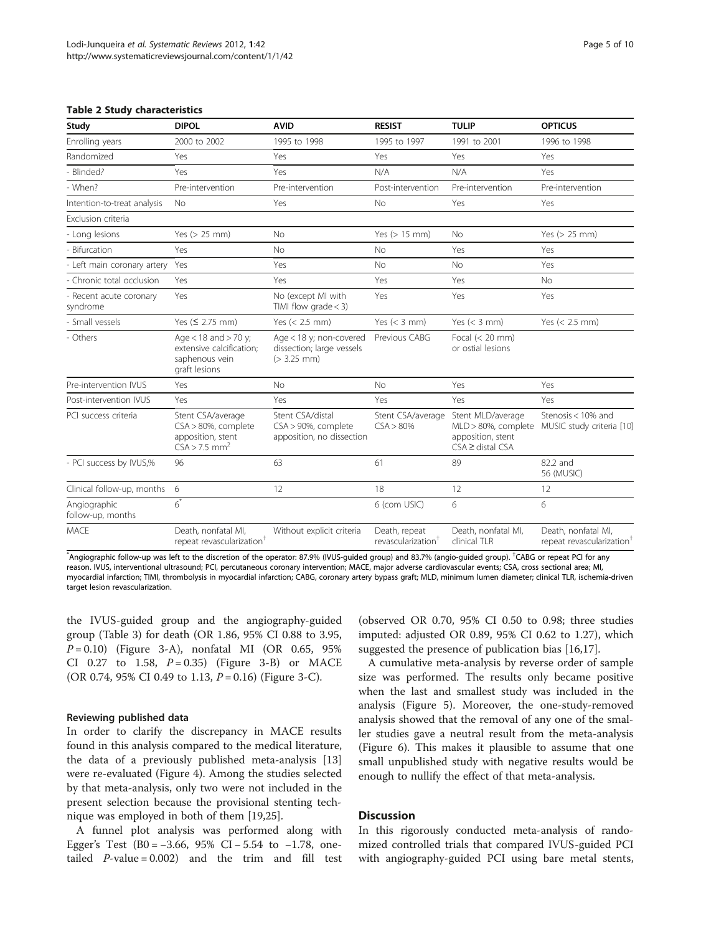#### <span id="page-4-0"></span>Table 2 Study characteristics

| <b>DIPOL</b><br>Study                                                                                                |                                                                                         | <b>AVID</b>                                                           | <b>RESIST</b>                                   | <b>TULIP</b>                                                                              | <b>OPTICUS</b>                                               |  |
|----------------------------------------------------------------------------------------------------------------------|-----------------------------------------------------------------------------------------|-----------------------------------------------------------------------|-------------------------------------------------|-------------------------------------------------------------------------------------------|--------------------------------------------------------------|--|
| Enrolling years                                                                                                      | 2000 to 2002                                                                            | 1995 to 1998                                                          | 1995 to 1997                                    | 1991 to 2001                                                                              | 1996 to 1998                                                 |  |
| Randomized                                                                                                           | Yes                                                                                     | Yes                                                                   | Yes                                             | Yes                                                                                       | Yes                                                          |  |
| - Blinded?                                                                                                           | Yes                                                                                     | Yes                                                                   | N/A                                             | N/A                                                                                       | Yes                                                          |  |
| - When?                                                                                                              | Pre-intervention                                                                        | Pre-intervention                                                      | Post-intervention                               | Pre-intervention                                                                          | Pre-intervention                                             |  |
| Intention-to-treat analysis                                                                                          | No                                                                                      | Yes                                                                   | <b>No</b>                                       | Yes                                                                                       | Yes                                                          |  |
| Exclusion criteria                                                                                                   |                                                                                         |                                                                       |                                                 |                                                                                           |                                                              |  |
| - Long lesions                                                                                                       | Yes $(> 25$ mm)                                                                         | <b>No</b>                                                             | Yes $(> 15$ mm)                                 | <b>No</b>                                                                                 | Yes $(> 25$ mm)                                              |  |
| - Bifurcation                                                                                                        | Yes                                                                                     | <b>No</b>                                                             | N <sub>o</sub>                                  | Yes                                                                                       | Yes                                                          |  |
| - Left main coronary artery                                                                                          | Yes                                                                                     | Yes                                                                   | <b>No</b>                                       | No                                                                                        | Yes                                                          |  |
| - Chronic total occlusion                                                                                            | Yes                                                                                     | Yes                                                                   | Yes                                             | Yes                                                                                       | <b>No</b>                                                    |  |
| - Recent acute coronary<br>syndrome                                                                                  | Yes                                                                                     | No (except MI with<br>TIMI flow grade $<$ 3)                          | Yes                                             | Yes                                                                                       | Yes                                                          |  |
| - Small vessels                                                                                                      | Yes $(S 2.75 mm)$                                                                       | Yes (< 2.5 mm)                                                        | Yes $(< 3$ mm)                                  | Yes $(< 3$ mm)                                                                            | Yes $(< 2.5$ mm)                                             |  |
| - Others                                                                                                             | Age $<$ 18 and $>$ 70 y;<br>extensive calcification:<br>saphenous vein<br>graft lesions | Age < 18 y; non-covered<br>dissection; large vessels<br>$(> 3.25$ mm) | Previous CABG                                   | Focal $(< 20$ mm)<br>or ostial lesions                                                    |                                                              |  |
| Pre-intervention IVUS                                                                                                | Yes                                                                                     | No                                                                    | No                                              | Yes                                                                                       | Yes                                                          |  |
| Post-intervention IVUS                                                                                               | Yes                                                                                     | Yes                                                                   | Yes                                             | Yes                                                                                       | Yes                                                          |  |
| Stent CSA/average<br>PCI success criteria<br>CSA > 80%, complete<br>apposition, stent<br>$CSA > 7.5$ mm <sup>2</sup> |                                                                                         | Stent CSA/distal<br>CSA > 90%, complete<br>apposition, no dissection  | Stent CSA/average<br>CSA > 80%                  | Stent MLD/average<br>MLD > 80%, complete<br>apposition, stent<br>$CSA \geq distal \, CSA$ | Stenosis < 10% and<br>MUSIC study criteria [10]              |  |
| - PCI success by IVUS,%                                                                                              | 96                                                                                      | 63                                                                    | 61                                              | 89                                                                                        | 82.2 and<br>56 (MUSIC)                                       |  |
| Clinical follow-up, months                                                                                           | 6                                                                                       | 12                                                                    | 18                                              | 12                                                                                        | 12                                                           |  |
| Angiographic<br>follow-up, months                                                                                    | $\overline{6}^*$                                                                        |                                                                       | 6 (com USIC)                                    | 6                                                                                         | 6                                                            |  |
| MACE                                                                                                                 | Death, nonfatal MI,<br>repeat revascularization <sup>†</sup>                            | Without explicit criteria                                             | Death, repeat<br>revascularization <sup>+</sup> | Death, nonfatal MI,<br>clinical TLR                                                       | Death, nonfatal MI,<br>repeat revascularization <sup>†</sup> |  |

\* Angiographic follow-up was left to the discretion of the operator: 87.9% (IVUS-guided group) and 83.7% (angio-guided group). † CABG or repeat PCI for any reason. IVUS, interventional ultrasound; PCI, percutaneous coronary intervention; MACE, major adverse cardiovascular events; CSA, cross sectional area; MI, myocardial infarction; TIMI, thrombolysis in myocardial infarction; CABG, coronary artery bypass graft; MLD, minimum lumen diameter; clinical TLR, ischemia-driven target lesion revascularization.

the IVUS-guided group and the angiography-guided group (Table [3](#page-5-0)) for death (OR 1.86, 95% CI 0.88 to 3.95,  $P = 0.10$ ) (Figure [3-](#page-6-0)A), nonfatal MI (OR 0.65, 95%) CI 0.27 to 1.58,  $P = 0.35$ ) (Figure [3](#page-6-0)-B) or MACE (OR 0.74, 95% CI 0.49 to 1.13,  $P = 0.16$ ) (Figure [3](#page-6-0)-C).

#### Reviewing published data

In order to clarify the discrepancy in MACE results found in this analysis compared to the medical literature, the data of a previously published meta-analysis [[13](#page-8-0)] were re-evaluated (Figure [4](#page-6-0)). Among the studies selected by that meta-analysis, only two were not included in the present selection because the provisional stenting technique was employed in both of them [[19](#page-9-0),[25](#page-9-0)].

A funnel plot analysis was performed along with Egger's Test (B0 =  $-3.66$ , 95% CI − 5.54 to −1.78, onetailed  $P$ -value = 0.002) and the trim and fill test (observed OR 0.70, 95% CI 0.50 to 0.98; three studies imputed: adjusted OR 0.89, 95% CI 0.62 to 1.27), which suggested the presence of publication bias [\[16,17](#page-8-0)].

A cumulative meta-analysis by reverse order of sample size was performed. The results only became positive when the last and smallest study was included in the analysis (Figure [5\)](#page-7-0). Moreover, the one-study-removed analysis showed that the removal of any one of the smaller studies gave a neutral result from the meta-analysis (Figure [6](#page-7-0)). This makes it plausible to assume that one small unpublished study with negative results would be enough to nullify the effect of that meta-analysis.

# **Discussion**

In this rigorously conducted meta-analysis of randomized controlled trials that compared IVUS-guided PCI with angiography-guided PCI using bare metal stents,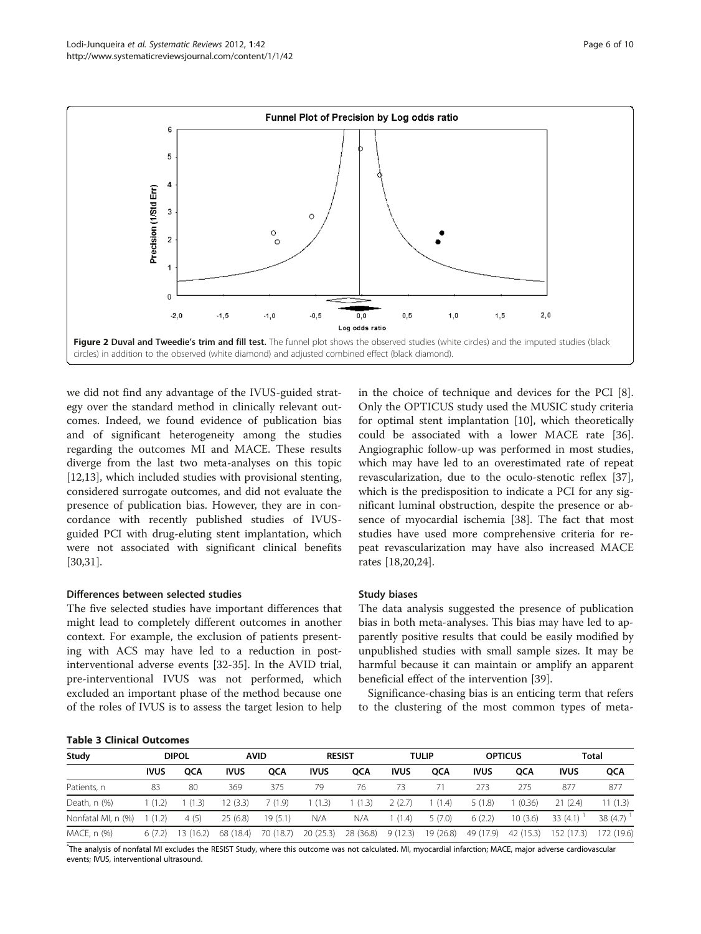<span id="page-5-0"></span>

we did not find any advantage of the IVUS-guided strategy over the standard method in clinically relevant outcomes. Indeed, we found evidence of publication bias and of significant heterogeneity among the studies regarding the outcomes MI and MACE. These results diverge from the last two meta-analyses on this topic [[12,13\]](#page-8-0), which included studies with provisional stenting, considered surrogate outcomes, and did not evaluate the presence of publication bias. However, they are in concordance with recently published studies of IVUSguided PCI with drug-eluting stent implantation, which were not associated with significant clinical benefits [[30,31\]](#page-9-0).

# Differences between selected studies

The five selected studies have important differences that might lead to completely different outcomes in another context. For example, the exclusion of patients presenting with ACS may have led to a reduction in postinterventional adverse events [\[32-35](#page-9-0)]. In the AVID trial, pre-interventional IVUS was not performed, which excluded an important phase of the method because one of the roles of IVUS is to assess the target lesion to help

in the choice of technique and devices for the PCI [\[8](#page-8-0)]. Only the OPTICUS study used the MUSIC study criteria for optimal stent implantation [\[10](#page-8-0)], which theoretically could be associated with a lower MACE rate [\[36](#page-9-0)]. Angiographic follow-up was performed in most studies, which may have led to an overestimated rate of repeat revascularization, due to the oculo-stenotic reflex [\[37](#page-9-0)], which is the predisposition to indicate a PCI for any significant luminal obstruction, despite the presence or absence of myocardial ischemia [\[38](#page-9-0)]. The fact that most studies have used more comprehensive criteria for repeat revascularization may have also increased MACE rates [\[18](#page-8-0)[,20,24](#page-9-0)].

### Study biases

The data analysis suggested the presence of publication bias in both meta-analyses. This bias may have led to apparently positive results that could be easily modified by unpublished studies with small sample sizes. It may be harmful because it can maintain or amplify an apparent beneficial effect of the intervention [\[39](#page-9-0)].

Significance-chasing bias is an enticing term that refers to the clustering of the most common types of meta-

# Table 3 Clinical Outcomes

| Study              |             | <b>DIPOL</b> |             | <b>AVID</b> |             | <b>RESIST</b> |             | <b>TULIP</b> |             | <b>OPTICUS</b> |             | <b>Total</b> |
|--------------------|-------------|--------------|-------------|-------------|-------------|---------------|-------------|--------------|-------------|----------------|-------------|--------------|
|                    | <b>IVUS</b> | <b>OCA</b>   | <b>IVUS</b> | <b>OCA</b>  | <b>IVUS</b> | <b>OCA</b>    | <b>IVUS</b> | QCA          | <b>IVUS</b> | <b>OCA</b>     | <b>IVUS</b> | QCA          |
| Patients, n        | 83          | 80           | 369         | 375         | 79          | 76            | 73          |              | 273         | 275            | 877         | 877          |
| Death, n (%)       | (1.2)       | (1.3)        | 12(3.3)     | 7 (1.9)     | (1.3)       | (1.3)         | 2(2.7)      | 1 (1.4)      | 5(1.8)      | (0.36)         | 21(2.4)     | 11(1.3)      |
| Nonfatal MI, n (%) | (1.2)       | 4(5)         | 25(6.8)     | 19(5.1)     | N/A         | N/A           | 1(1.4)      | 5(7.0)       | 6(2.2)      | 10(3.6)        | 33(4.1)     | 38(4.7)      |
| MACE, n (%)        | 6(7.2)      | (16.2)<br>3  | 68 (18.4)   | 70 (18.7)   | 20(25.3)    | 28 (36.8)     | 9(12.3)     | 19 (26.8)    | 49 (17.9)   | 42 (15.3)      | 152 (17.3)  | 72 (19.6)    |

\* The analysis of nonfatal MI excludes the RESIST Study, where this outcome was not calculated. MI, myocardial infarction; MACE, major adverse cardiovascular events; IVUS, interventional ultrasound.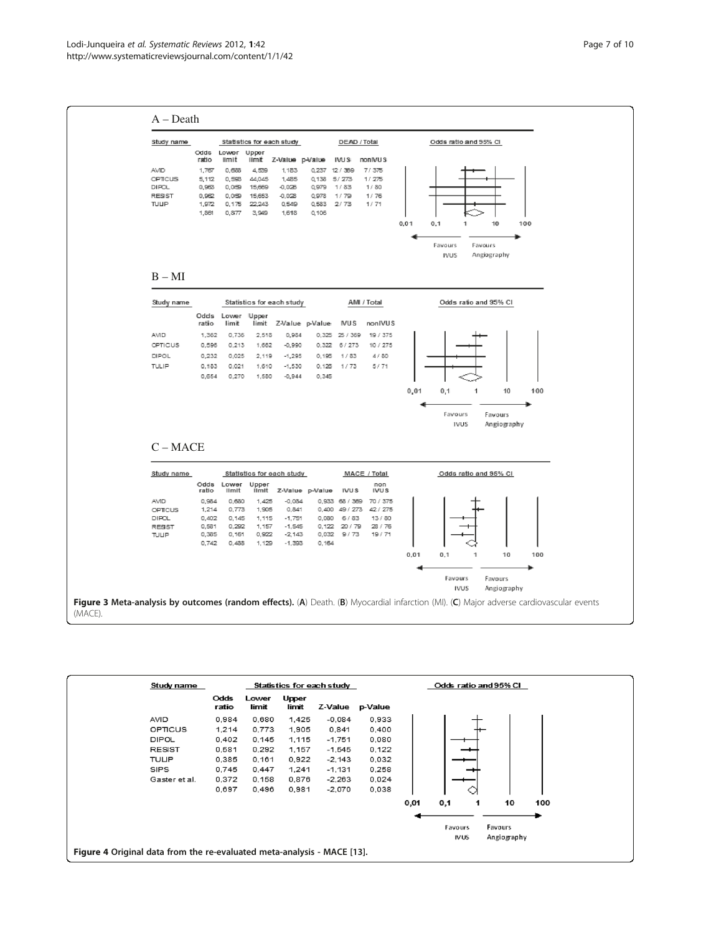<span id="page-6-0"></span>

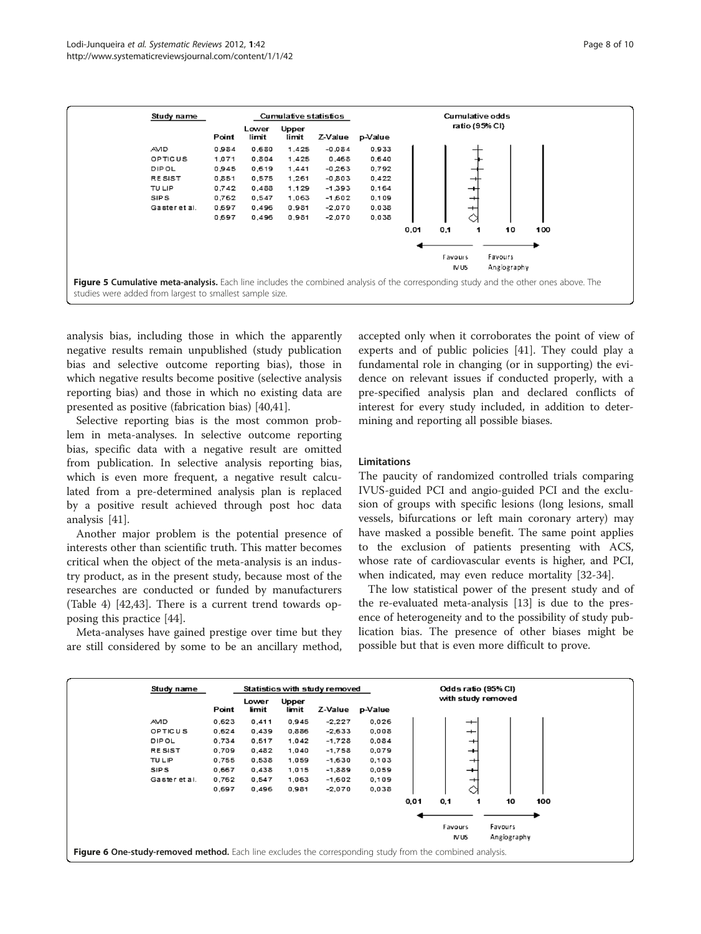<span id="page-7-0"></span>

analysis bias, including those in which the apparently negative results remain unpublished (study publication bias and selective outcome reporting bias), those in which negative results become positive (selective analysis reporting bias) and those in which no existing data are presented as positive (fabrication bias) [[40,41\]](#page-9-0).

Selective reporting bias is the most common problem in meta-analyses. In selective outcome reporting bias, specific data with a negative result are omitted from publication. In selective analysis reporting bias, which is even more frequent, a negative result calculated from a pre-determined analysis plan is replaced by a positive result achieved through post hoc data analysis [\[41\]](#page-9-0).

Another major problem is the potential presence of interests other than scientific truth. This matter becomes critical when the object of the meta-analysis is an industry product, as in the present study, because most of the researches are conducted or funded by manufacturers (Table [4](#page-8-0)) [[42,43](#page-9-0)]. There is a current trend towards opposing this practice [[44](#page-9-0)].

Meta-analyses have gained prestige over time but they are still considered by some to be an ancillary method, accepted only when it corroborates the point of view of experts and of public policies [\[41\]](#page-9-0). They could play a fundamental role in changing (or in supporting) the evidence on relevant issues if conducted properly, with a pre-specified analysis plan and declared conflicts of interest for every study included, in addition to determining and reporting all possible biases.

# Limitations

The paucity of randomized controlled trials comparing IVUS-guided PCI and angio-guided PCI and the exclusion of groups with specific lesions (long lesions, small vessels, bifurcations or left main coronary artery) may have masked a possible benefit. The same point applies to the exclusion of patients presenting with ACS, whose rate of cardiovascular events is higher, and PCI, when indicated, may even reduce mortality [\[32](#page-9-0)-[34\]](#page-9-0).

The low statistical power of the present study and of the re-evaluated meta-analysis [[13](#page-8-0)] is due to the presence of heterogeneity and to the possibility of study publication bias. The presence of other biases might be possible but that is even more difficult to prove.

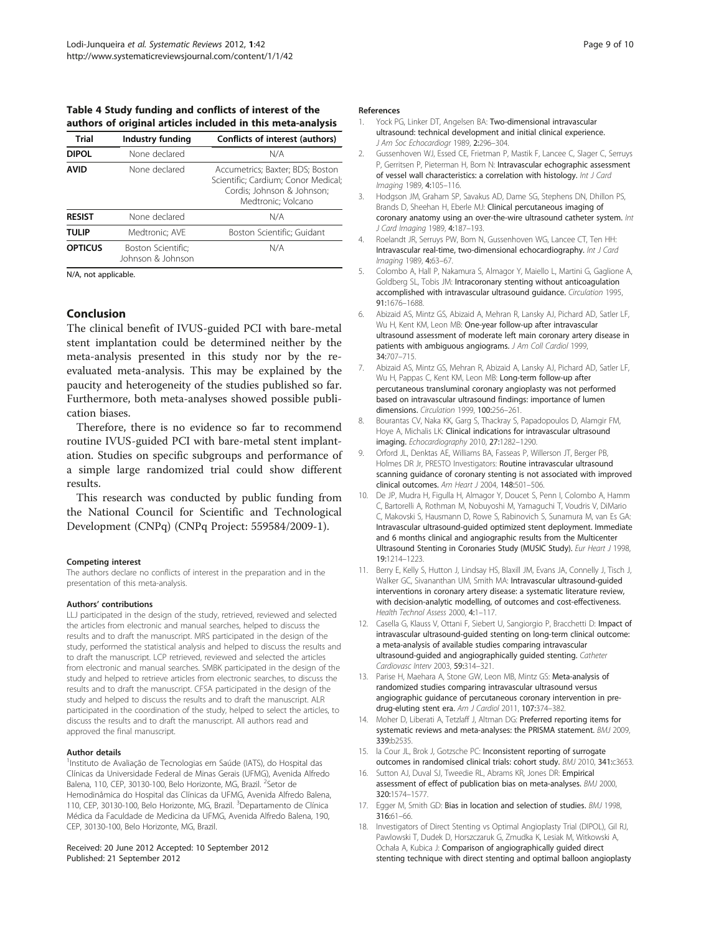# <span id="page-8-0"></span>Table 4 Study funding and conflicts of interest of the authors of original articles included in this meta-analysis

| <b>Trial</b>   | Industry funding                        | Conflicts of interest (authors)                                                                                             |
|----------------|-----------------------------------------|-----------------------------------------------------------------------------------------------------------------------------|
| <b>DIPOL</b>   | None declared                           | N/A                                                                                                                         |
| <b>AVID</b>    | None declared                           | Accumetrics; Baxter; BDS; Boston<br>Scientific; Cardium; Conor Medical;<br>Cordis; Johnson & Johnson;<br>Medtronic; Volcano |
| <b>RESIST</b>  | None declared                           | N/A                                                                                                                         |
| TULIP          | Medtronic; AVE                          | Boston Scientific; Guidant                                                                                                  |
| <b>OPTICUS</b> | Boston Scientific;<br>Johnson & Johnson | N/A                                                                                                                         |

N/A, not applicable.

# Conclusion

The clinical benefit of IVUS-guided PCI with bare-metal stent implantation could be determined neither by the meta-analysis presented in this study nor by the reevaluated meta-analysis. This may be explained by the paucity and heterogeneity of the studies published so far. Furthermore, both meta-analyses showed possible publication biases.

Therefore, there is no evidence so far to recommend routine IVUS-guided PCI with bare-metal stent implantation. Studies on specific subgroups and performance of a simple large randomized trial could show different results.

This research was conducted by public funding from the National Council for Scientific and Technological Development (CNPq) (CNPq Project: 559584/2009-1).

#### Competing interest

The authors declare no conflicts of interest in the preparation and in the presentation of this meta-analysis.

#### Authors' contributions

LLJ participated in the design of the study, retrieved, reviewed and selected the articles from electronic and manual searches, helped to discuss the results and to draft the manuscript. MRS participated in the design of the study, performed the statistical analysis and helped to discuss the results and to draft the manuscript. LCP retrieved, reviewed and selected the articles from electronic and manual searches. SMBK participated in the design of the study and helped to retrieve articles from electronic searches, to discuss the results and to draft the manuscript. CFSA participated in the design of the study and helped to discuss the results and to draft the manuscript. ALR participated in the coordination of the study, helped to select the articles, to discuss the results and to draft the manuscript. All authors read and approved the final manuscript.

#### Author details

<sup>1</sup>Instituto de Avaliação de Tecnologias em Saúde (IATS), do Hospital das Clínicas da Universidade Federal de Minas Gerais (UFMG), Avenida Alfredo Balena, 110, CEP, 30130-100, Belo Horizonte, MG, Brazil. <sup>2</sup>Setor de Hemodinâmica do Hospital das Clínicas da UFMG, Avenida Alfredo Balena, 110, CEP, 30130-100, Belo Horizonte, MG, Brazil. <sup>3</sup>Departamento de Clínica Médica da Faculdade de Medicina da UFMG, Avenida Alfredo Balena, 190, CEP, 30130-100, Belo Horizonte, MG, Brazil.

Received: 20 June 2012 Accepted: 10 September 2012 Published: 21 September 2012

#### References

- Yock PG, Linker DT, Angelsen BA: Two-dimensional intravascular ultrasound: technical development and initial clinical experience. J Am Soc Echocardiogr 1989, 2:296–304.
- 2. Gussenhoven WJ, Essed CE, Frietman P, Mastik F, Lancee C, Slager C, Serruys P, Gerritsen P, Pieterman H, Bom N: Intravascular echographic assessment of vessel wall characteristics: a correlation with histology. Int J Card Imaging 1989, 4:105–116.
- 3. Hodgson JM, Graham SP, Savakus AD, Dame SG, Stephens DN, Dhillon PS, Brands D, Sheehan H, Eberle MJ: Clinical percutaneous imaging of coronary anatomy using an over-the-wire ultrasound catheter system. Int J Card Imaging 1989, 4:187–193.
- 4. Roelandt JR, Serruys PW, Bom N, Gussenhoven WG, Lancee CT, Ten HH: Intravascular real-time, two-dimensional echocardiography. Int J Card Imaging 1989, 4:63–67.
- 5. Colombo A, Hall P, Nakamura S, Almagor Y, Maiello L, Martini G, Gaglione A, Goldberg SL, Tobis JM: Intracoronary stenting without anticoagulation accomplished with intravascular ultrasound guidance. Circulation 1995, 91:1676–1688.
- 6. Abizaid AS, Mintz GS, Abizaid A, Mehran R, Lansky AJ, Pichard AD, Satler LF, Wu H, Kent KM, Leon MB: One-year follow-up after intravascular ultrasound assessment of moderate left main coronary artery disease in patients with ambiguous angiograms. J Am Coll Cardiol 1999, 34:707–715.
- 7. Abizaid AS, Mintz GS, Mehran R, Abizaid A, Lansky AJ, Pichard AD, Satler LF, Wu H, Pappas C, Kent KM, Leon MB: Long-term follow-up after percutaneous transluminal coronary angioplasty was not performed based on intravascular ultrasound findings: importance of lumen dimensions. Circulation 1999, 100:256–261.
- 8. Bourantas CV, Naka KK, Garg S, Thackray S, Papadopoulos D, Alamgir FM, Hoye A, Michalis LK: Clinical indications for intravascular ultrasound imaging. Echocardiography 2010, 27:1282–1290.
- 9. Orford JL, Denktas AE, Williams BA, Fasseas P, Willerson JT, Berger PB, Holmes DR Jr, PRESTO Investigators: Routine intravascular ultrasound scanning guidance of coronary stenting is not associated with improved clinical outcomes. Am Heart J 2004, 148:501-506.
- 10. De JP, Mudra H, Figulla H, Almagor Y, Doucet S, Penn I, Colombo A, Hamm C, Bartorelli A, Rothman M, Nobuyoshi M, Yamaguchi T, Voudris V, DiMario C, Makovski S, Hausmann D, Rowe S, Rabinovich S, Sunamura M, van Es GA: Intravascular ultrasound-guided optimized stent deployment. Immediate and 6 months clinical and angiographic results from the Multicenter Ultrasound Stenting in Coronaries Study (MUSIC Study). Eur Heart J 1998, 19:1214–1223.
- 11. Berry E, Kelly S, Hutton J, Lindsay HS, Blaxill JM, Evans JA, Connelly J, Tisch J, Walker GC, Sivananthan UM, Smith MA: Intravascular ultrasound-guided interventions in coronary artery disease: a systematic literature review, with decision-analytic modelling, of outcomes and cost-effectiveness. Health Technol Assess 2000, 4:1-117.
- 12. Casella G, Klauss V, Ottani F, Siebert U, Sangiorgio P, Bracchetti D: Impact of intravascular ultrasound-guided stenting on long-term clinical outcome: a meta-analysis of available studies comparing intravascular ultrasound-guided and angiographically guided stenting. Catheter Cardiovasc Interv 2003, 59:314–321.
- 13. Parise H, Maehara A, Stone GW, Leon MB, Mintz GS: Meta-analysis of randomized studies comparing intravascular ultrasound versus angiographic guidance of percutaneous coronary intervention in predrug-eluting stent era. Am J Cardiol 2011, 107:374–382.
- 14. Moher D, Liberati A, Tetzlaff J, Altman DG: Preferred reporting items for systematic reviews and meta-analyses: the PRISMA statement. BMJ 2009, 339:b2535.
- 15. la Cour JL, Brok J, Gotzsche PC: Inconsistent reporting of surrogate outcomes in randomised clinical trials: cohort study. BMJ 2010, 341:c3653.
- 16. Sutton AJ, Duval SJ, Tweedie RL, Abrams KR, Jones DR: Empirical assessment of effect of publication bias on meta-analyses. BMJ 2000, 320:1574–1577.
- 17. Egger M, Smith GD: Bias in location and selection of studies. BMJ 1998, 316:61–66.
- 18. Investigators of Direct Stenting vs Optimal Angioplasty Trial (DIPOL), Gil RJ, Pawlowski T, Dudek D, Horszczaruk G, Zmudka K, Lesiak M, Witkowski A, Ochała A, Kubica J: Comparison of angiographically guided direct stenting technique with direct stenting and optimal balloon angioplasty